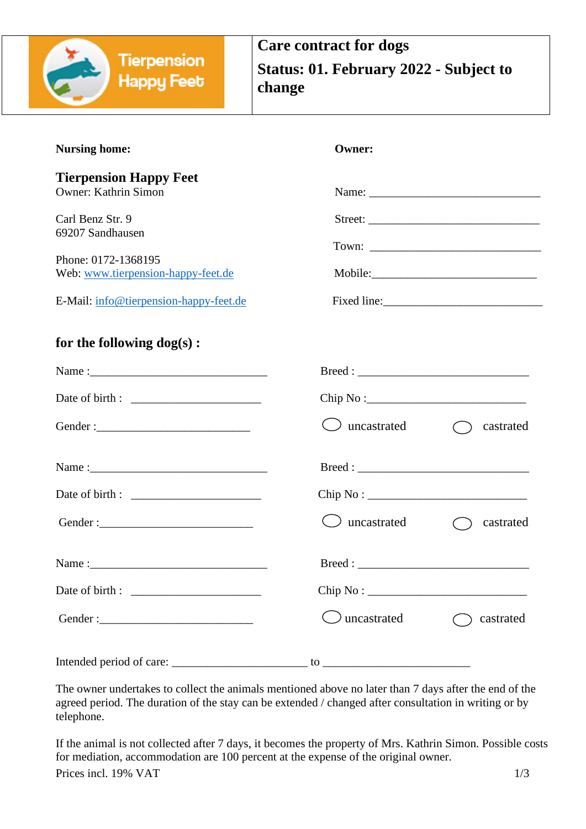

| <b>Nursing home:</b>                                         | <b>Owner:</b>         |           |
|--------------------------------------------------------------|-----------------------|-----------|
| <b>Tierpension Happy Feet</b><br><b>Owner: Kathrin Simon</b> |                       |           |
| Carl Benz Str. 9<br>69207 Sandhausen                         |                       |           |
| Phone: 0172-1368195<br>Web: www.tierpension-happy-feet.de    |                       | Mobile:   |
| E-Mail: info@tierpension-happy-feet.de                       |                       |           |
| for the following dog(s) :                                   |                       |           |
|                                                              |                       |           |
|                                                              | Chip No:              |           |
|                                                              | $\bigcup$ uncastrated | castrated |
|                                                              |                       |           |
|                                                              |                       |           |
|                                                              | $\cup$ uncastrated    | castrated |
|                                                              |                       |           |
|                                                              | Chip No:              |           |
|                                                              | uncastrated           | castrated |
|                                                              |                       |           |

The owner undertakes to collect the animals mentioned above no later than 7 days after the end of the agreed period. The duration of the stay can be extended / changed after consultation in writing or by telephone.

Prices incl. 19% VAT  $1/3$ If the animal is not collected after 7 days, it becomes the property of Mrs. Kathrin Simon. Possible costs for mediation, accommodation are 100 percent at the expense of the original owner.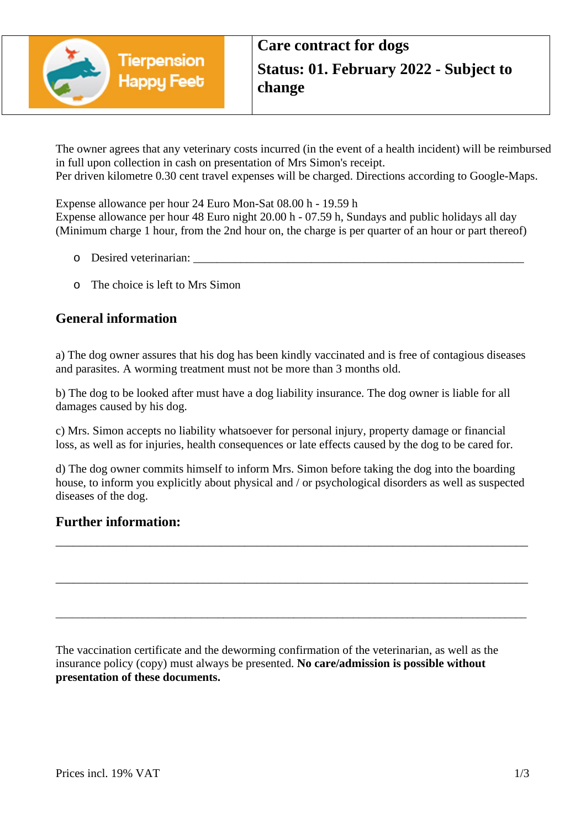

The owner agrees that any veterinary costs incurred (in the event of a health incident) will be reimbursed in full upon collection in cash on presentation of Mrs Simon's receipt. Per driven kilometre 0.30 cent travel expenses will be charged. Directions according to Google-Maps.

Expense allowance per hour 24 Euro Mon-Sat 08.00 h - 19.59 h Expense allowance per hour 48 Euro night 20.00 h - 07.59 h, Sundays and public holidays all day (Minimum charge 1 hour, from the 2nd hour on, the charge is per quarter of an hour or part thereof)

- o Desired veterinarian:
- o The choice is left to Mrs Simon

## **General information**

a) The dog owner assures that his dog has been kindly vaccinated and is free of contagious diseases and parasites. A worming treatment must not be more than 3 months old.

b) The dog to be looked after must have a dog liability insurance. The dog owner is liable for all damages caused by his dog.

c) Mrs. Simon accepts no liability whatsoever for personal injury, property damage or financial loss, as well as for injuries, health consequences or late effects caused by the dog to be cared for.

d) The dog owner commits himself to inform Mrs. Simon before taking the dog into the boarding house, to inform you explicitly about physical and / or psychological disorders as well as suspected diseases of the dog.

\_\_\_\_\_\_\_\_\_\_\_\_\_\_\_\_\_\_\_\_\_\_\_\_\_\_\_\_\_\_\_\_\_\_\_\_\_\_\_\_\_\_\_\_\_\_\_\_\_\_\_\_\_\_\_\_\_\_\_\_\_\_\_\_\_\_\_\_\_\_\_\_\_\_\_\_\_\_\_\_

\_\_\_\_\_\_\_\_\_\_\_\_\_\_\_\_\_\_\_\_\_\_\_\_\_\_\_\_\_\_\_\_\_\_\_\_\_\_\_\_\_\_\_\_\_\_\_\_\_\_\_\_\_\_\_\_\_\_\_\_\_\_\_\_\_\_\_\_\_\_\_\_\_\_\_\_\_\_\_\_

\_\_\_\_\_\_\_\_\_\_\_\_\_\_\_\_\_\_\_\_\_\_\_\_\_\_\_\_\_\_\_\_\_\_\_\_\_\_\_\_\_\_\_\_\_\_\_\_\_\_\_\_\_\_\_\_\_\_\_\_\_\_\_\_\_\_\_\_\_\_\_\_\_\_\_\_\_\_\_\_\_\_\_\_\_\_\_

## **Further information:**

The vaccination certificate and the deworming confirmation of the veterinarian, as well as the insurance policy (copy) must always be presented. **No care/admission is possible without presentation of these documents.**